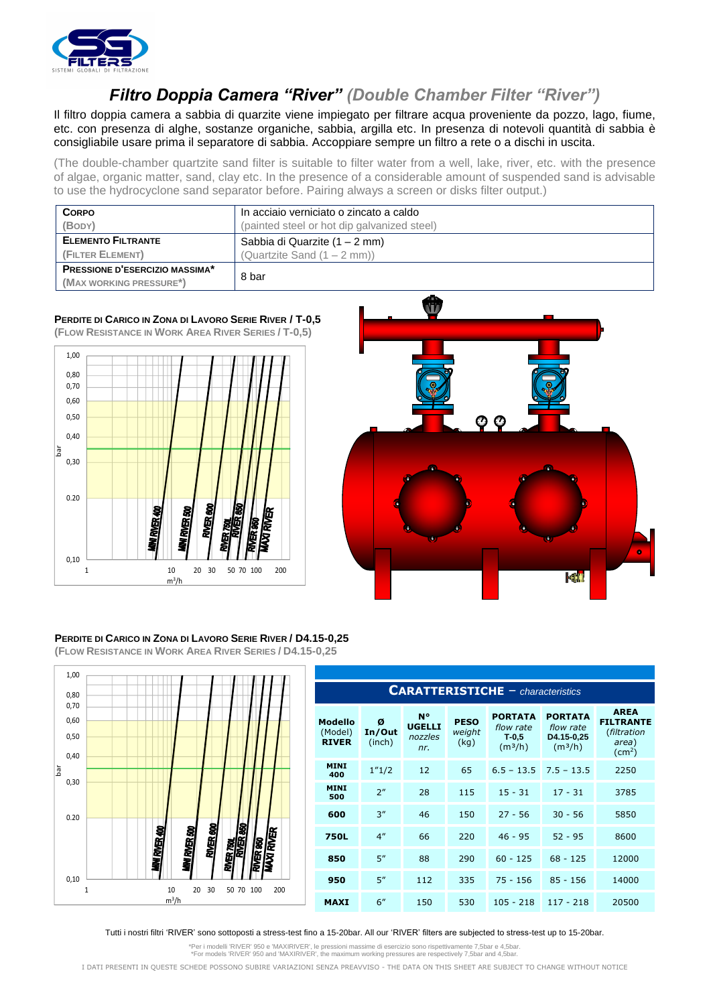

## *Filtro Doppia Camera "River" (Double Chamber Filter "River")*

Il filtro doppia camera a sabbia di quarzite viene impiegato per filtrare acqua proveniente da pozzo, lago, fiume, etc. con presenza di alghe, sostanze organiche, sabbia, argilla etc. In presenza di notevoli quantità di sabbia è consigliabile usare prima il separatore di sabbia. Accoppiare sempre un filtro a rete o a dischi in uscita.

(The double-chamber quartzite sand filter is suitable to filter water from a well, lake, river, etc. with the presence of algae, organic matter, sand, clay etc. In the presence of a considerable amount of suspended sand is advisable to use the hydrocyclone sand separator before. Pairing always a screen or disks filter output.)

| <b>CORPO</b>                          | In acciaio verniciato o zincato a caldo     |
|---------------------------------------|---------------------------------------------|
| (BODY)                                | (painted steel or hot dip galvanized steel) |
| <b>ELEMENTO FILTRANTE</b>             | Sabbia di Quarzite (1 – 2 mm)               |
| (FILTER ELEMENT)                      | (Quartzite Sand $(1 - 2$ mm))               |
| <b>PRESSIONE D'ESERCIZIO MASSIMA*</b> | 8 bar                                       |
| (MAX WORKING PRESSURE*)               |                                             |

## **PERDITE DI CARICO IN ZONA DI LAVORO SERIE RIVER / T-0,5 (FLOW RESISTANCE IN WORK AREA RIVER SERIES / T-0,5)**





## **PERDITE DI CARICO IN ZONA DI LAVORO SERIE RIVER / D4.15-0,25 (FLOW RESISTANCE IN WORK AREA RIVER SERIES / D4.15-0,25**



| <b>CARATTERISTICHE</b> - characteristics  |                       |                                              |                               |                                                               |                                                                  |                                                                            |  |
|-------------------------------------------|-----------------------|----------------------------------------------|-------------------------------|---------------------------------------------------------------|------------------------------------------------------------------|----------------------------------------------------------------------------|--|
| <b>Modello</b><br>(Model)<br><b>RIVER</b> | ø<br>In/Out<br>(inch) | <b>N°</b><br><b>UGELLI</b><br>nozzles<br>nr. | <b>PESO</b><br>weight<br>(kg) | <b>PORTATA</b><br>flow rate<br>$T-0.5$<br>(m <sup>3</sup> /h) | <b>PORTATA</b><br>flow rate<br>D4.15-0,25<br>(m <sup>3</sup> /h) | <b>AREA</b><br><b>FILTRANTE</b><br>(filtration<br>area)<br>$\text{(cm}^2)$ |  |
| <b>MINI</b><br>400                        | 1''1/2                | 12                                           | 65                            | $6.5 - 13.5$                                                  | $7.5 - 13.5$                                                     | 2250                                                                       |  |
| <b>MINI</b><br>500                        | 2 <sup>n</sup>        | 28                                           | 115                           | $15 - 31$                                                     | $17 - 31$                                                        | 3785                                                                       |  |
| 600                                       | 3''                   | 46                                           | 150                           | $27 - 56$                                                     | $30 - 56$                                                        | 5850                                                                       |  |
| <b>750L</b>                               | 4 <sup>''</sup>       | 66                                           | 220                           | $46 - 95$                                                     | $52 - 95$                                                        | 8600                                                                       |  |
| 850                                       | 5"                    | 88                                           | 290                           | $60 - 125$                                                    | $68 - 125$                                                       | 12000                                                                      |  |
| 950                                       | 5''                   | 112                                          | 335                           | $75 - 156$                                                    | $85 - 156$                                                       | 14000                                                                      |  |
| <b>MAXI</b>                               | 6"                    | 150                                          | 530                           | $105 - 218$                                                   | $117 - 218$                                                      | 20500                                                                      |  |

Tutti i nostri filtri "RIVER" sono sottoposti a stress-test fino a 15-20bar. All our "RIVER" filters are subjected to stress-test up to 15-20bar.

\*Per i modelli 'RIVER' 950 e 'MAXIRIVER', le pressioni massime di esercizio sono rispettivamente 7,5bar e 4,5bar. \*For models 'RIVER' 950 and 'MAXIRIVER', the maximum working pressures are respectively 7,5bar and 4,5bar.

I DATI PRESENTI IN QUESTE SCHEDE POSSONO SUBIRE VARIAZIONI SENZA PREAVVISO - THE DATA ON THIS SHEET ARE SUBJECT TO CHANGE WITHOUT NOTICE